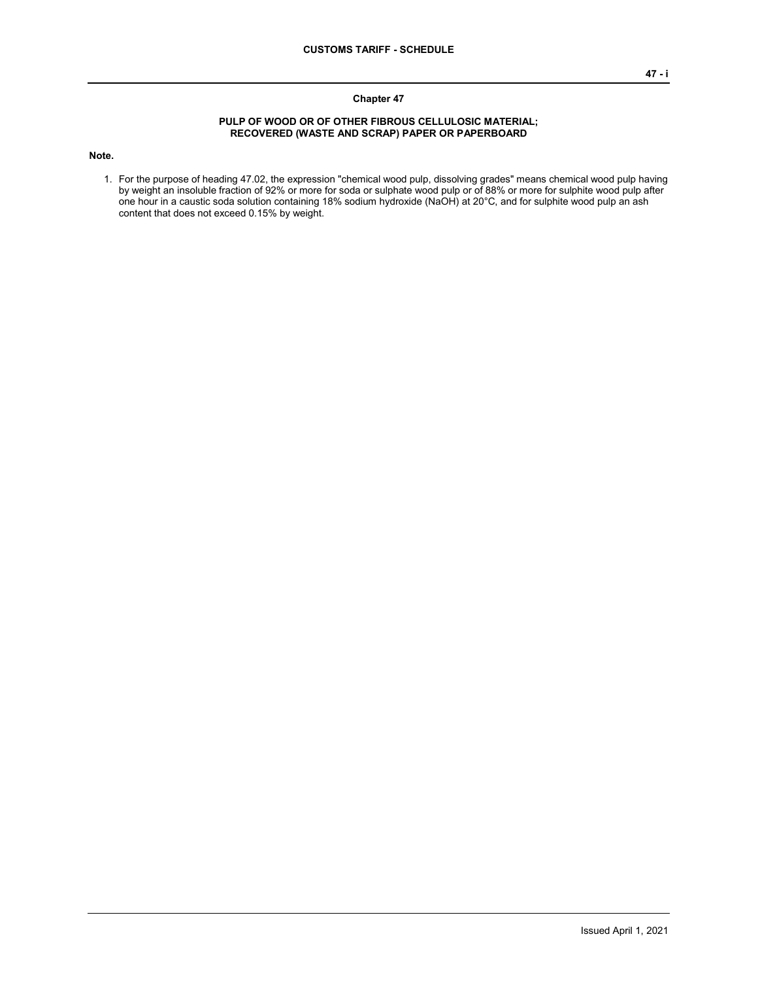## **Chapter 47**

## **PULP OF WOOD OR OF OTHER FIBROUS CELLULOSIC MATERIAL; RECOVERED (WASTE AND SCRAP) PAPER OR PAPERBOARD**

**Note.**

1. For the purpose of heading 47.02, the expression "chemical wood pulp, dissolving grades" means chemical wood pulp having by weight an insoluble fraction of 92% or more for soda or sulphate wood pulp or of 88% or more for sulphite wood pulp after one hour in a caustic soda solution containing 18% sodium hydroxide (NaOH) at 20°C, and for sulphite wood pulp an ash content that does not exceed 0.15% by weight.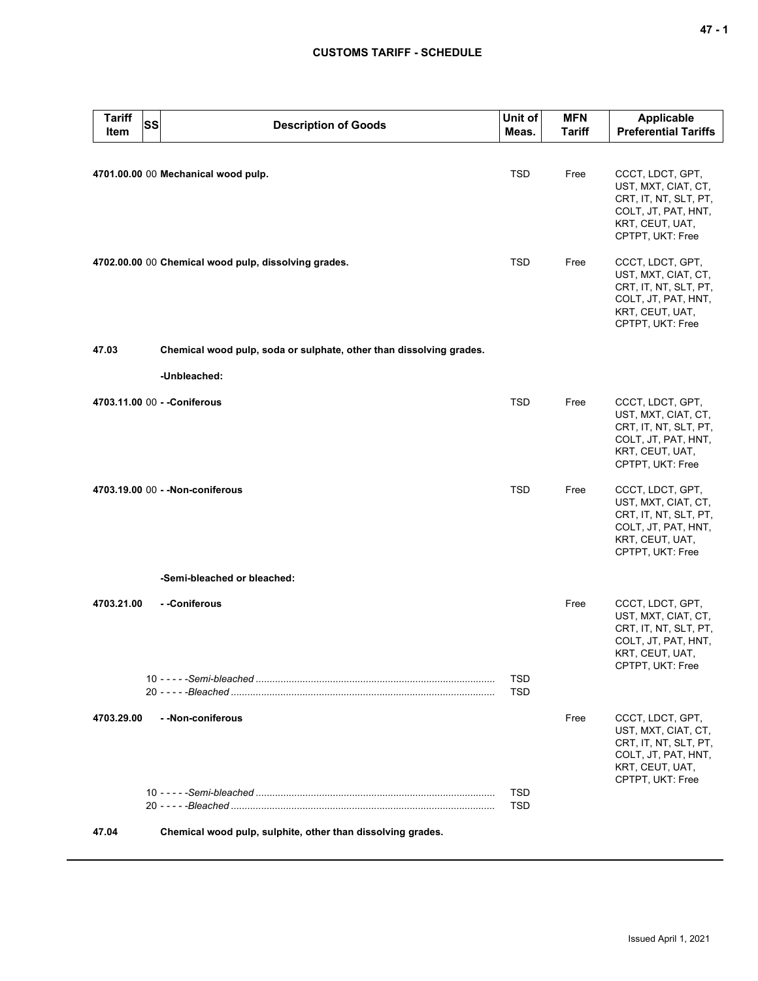## **CUSTOMS TARIFF - SCHEDULE**

| <b>Tariff</b><br><b>SS</b><br>Item | <b>Description of Goods</b>                                         | Unit of<br>Meas.         | <b>MFN</b><br><b>Tariff</b> | <b>Applicable</b><br><b>Preferential Tariffs</b>                                                                               |
|------------------------------------|---------------------------------------------------------------------|--------------------------|-----------------------------|--------------------------------------------------------------------------------------------------------------------------------|
|                                    | 4701.00.00 00 Mechanical wood pulp.                                 | <b>TSD</b>               | Free                        | CCCT, LDCT, GPT,<br>UST, MXT, CIAT, CT,<br>CRT, IT, NT, SLT, PT,<br>COLT, JT, PAT, HNT,<br>KRT, CEUT, UAT,<br>CPTPT, UKT: Free |
|                                    | 4702.00.00 00 Chemical wood pulp, dissolving grades.                | <b>TSD</b>               | Free                        | CCCT, LDCT, GPT,<br>UST, MXT, CIAT, CT,<br>CRT, IT, NT, SLT, PT,<br>COLT, JT, PAT, HNT,<br>KRT, CEUT, UAT,<br>CPTPT, UKT: Free |
| 47.03                              | Chemical wood pulp, soda or sulphate, other than dissolving grades. |                          |                             |                                                                                                                                |
|                                    | -Unbleached:                                                        |                          |                             |                                                                                                                                |
|                                    | 4703.11.00 00 - - Coniferous                                        | <b>TSD</b>               | Free                        | CCCT, LDCT, GPT,<br>UST, MXT, CIAT, CT,<br>CRT, IT, NT, SLT, PT,<br>COLT, JT, PAT, HNT,<br>KRT, CEUT, UAT,<br>CPTPT, UKT: Free |
|                                    | 4703.19.00 00 - - Non-coniferous                                    | <b>TSD</b>               | Free                        | CCCT, LDCT, GPT,<br>UST, MXT, CIAT, CT,<br>CRT, IT, NT, SLT, PT,<br>COLT, JT, PAT, HNT,<br>KRT, CEUT, UAT,<br>CPTPT, UKT: Free |
|                                    | -Semi-bleached or bleached:                                         |                          |                             |                                                                                                                                |
| 4703.21.00                         | - -Coniferous                                                       |                          | Free                        | CCCT, LDCT, GPT,<br>UST, MXT, CIAT, CT,<br>CRT, IT, NT, SLT, PT,<br>COLT, JT, PAT, HNT,<br>KRT, CEUT, UAT,<br>CPTPT, UKT: Free |
|                                    |                                                                     | TSD<br><b>TSD</b>        |                             |                                                                                                                                |
| 4703.29.00                         | - - Non-coniferous                                                  |                          | Free                        | CCCT, LDCT, GPT,<br>UST, MXT, CIAT, CT,<br>CRT, IT, NT, SLT, PT,<br>COLT, JT, PAT, HNT,<br>KRT, CEUT, UAT,<br>CPTPT, UKT: Free |
|                                    |                                                                     | <b>TSD</b><br><b>TSD</b> |                             |                                                                                                                                |
| 47.04                              | Chemical wood pulp, sulphite, other than dissolving grades.         |                          |                             |                                                                                                                                |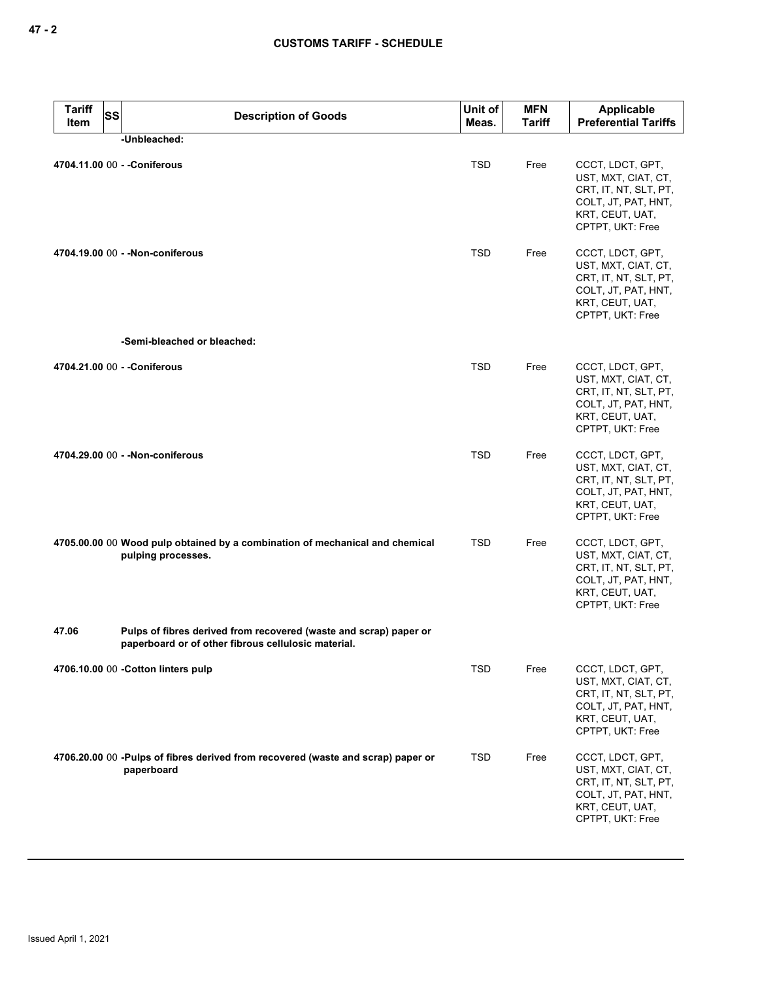| <b>Tariff</b><br>Item | <b>SS</b><br><b>Description of Goods</b>                                                                                 | Unit of<br>Meas. | <b>MFN</b><br><b>Tariff</b> | <b>Applicable</b><br><b>Preferential Tariffs</b>                                                                               |  |
|-----------------------|--------------------------------------------------------------------------------------------------------------------------|------------------|-----------------------------|--------------------------------------------------------------------------------------------------------------------------------|--|
| -Unbleached:          |                                                                                                                          |                  |                             |                                                                                                                                |  |
|                       | 4704.11.00 00 - - Coniferous                                                                                             | <b>TSD</b>       | Free                        | CCCT, LDCT, GPT,<br>UST, MXT, CIAT, CT,<br>CRT, IT, NT, SLT, PT,<br>COLT, JT, PAT, HNT,<br>KRT, CEUT, UAT,<br>CPTPT, UKT: Free |  |
|                       | 4704.19.00 00 - - Non-coniferous                                                                                         | <b>TSD</b>       | Free                        | CCCT, LDCT, GPT,<br>UST, MXT, CIAT, CT,<br>CRT, IT, NT, SLT, PT,<br>COLT, JT, PAT, HNT,<br>KRT, CEUT, UAT,<br>CPTPT, UKT: Free |  |
|                       | -Semi-bleached or bleached:                                                                                              |                  |                             |                                                                                                                                |  |
|                       | 4704.21.00 00 - - Coniferous                                                                                             | <b>TSD</b>       | Free                        | CCCT, LDCT, GPT,<br>UST, MXT, CIAT, CT,<br>CRT, IT, NT, SLT, PT,<br>COLT, JT, PAT, HNT,<br>KRT, CEUT, UAT,<br>CPTPT, UKT: Free |  |
|                       | 4704.29.00 00 - - Non-coniferous                                                                                         | <b>TSD</b>       | Free                        | CCCT, LDCT, GPT,<br>UST, MXT, CIAT, CT,<br>CRT, IT, NT, SLT, PT,<br>COLT, JT, PAT, HNT,<br>KRT, CEUT, UAT,<br>CPTPT, UKT: Free |  |
|                       | 4705.00.00 00 Wood pulp obtained by a combination of mechanical and chemical<br>pulping processes.                       | <b>TSD</b>       | Free                        | CCCT, LDCT, GPT,<br>UST, MXT, CIAT, CT,<br>CRT, IT, NT, SLT, PT,<br>COLT, JT, PAT, HNT,<br>KRT, CEUT, UAT,<br>CPTPT, UKT: Free |  |
| 47.06                 | Pulps of fibres derived from recovered (waste and scrap) paper or<br>paperboard or of other fibrous cellulosic material. |                  |                             |                                                                                                                                |  |
|                       | 4706.10.00 00 - Cotton linters pulp                                                                                      | TSD              | Free                        | CCCT, LDCT, GPT,<br>UST, MXT, CIAT, CT,<br>CRT, IT, NT, SLT, PT,<br>COLT, JT, PAT, HNT,<br>KRT, CEUT, UAT,<br>CPTPT, UKT: Free |  |
|                       | 4706.20.00 00 -Pulps of fibres derived from recovered (waste and scrap) paper or<br>paperboard                           | TSD              | Free                        | CCCT, LDCT, GPT,<br>UST, MXT, CIAT, CT,<br>CRT, IT, NT, SLT, PT,<br>COLT, JT, PAT, HNT,<br>KRT, CEUT, UAT,<br>CPTPT, UKT: Free |  |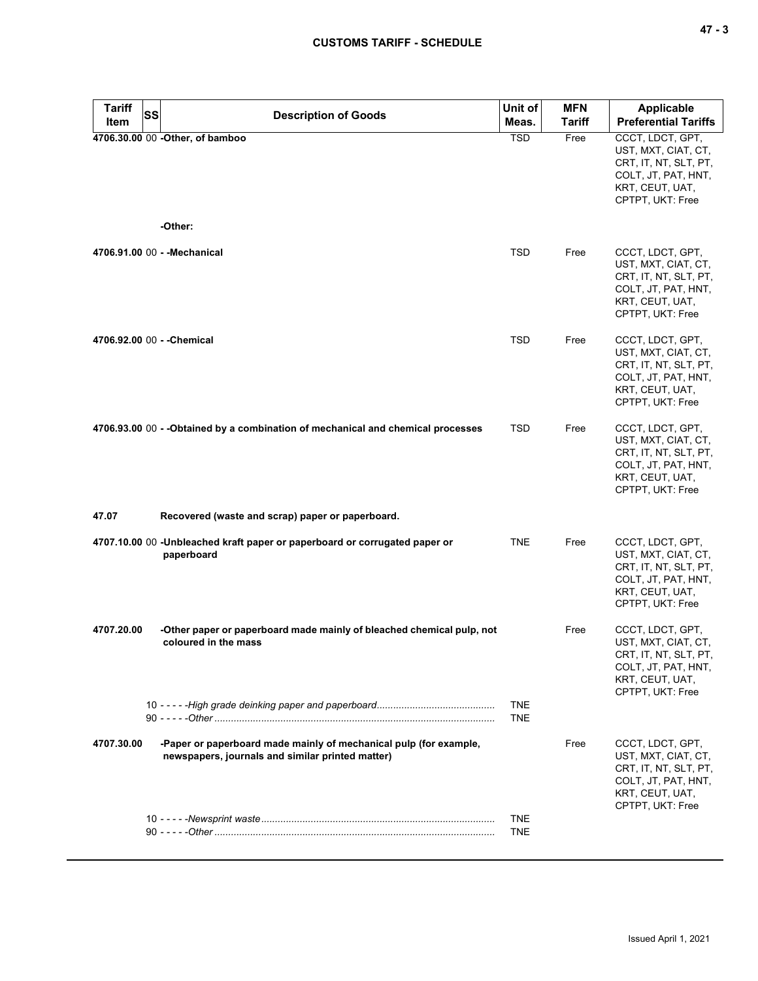| <b>CUSTOMS TARIFF - SCHEDULE</b> |                                  |                             |                  |                             | $47 - 3$                                                                                                                                        |
|----------------------------------|----------------------------------|-----------------------------|------------------|-----------------------------|-------------------------------------------------------------------------------------------------------------------------------------------------|
| <b>Tariff</b><br>Item            | <b>SS</b>                        | <b>Description of Goods</b> | Unit of<br>Meas. | <b>MFN</b><br><b>Tariff</b> | Applicable<br><b>Preferential Tariffs</b>                                                                                                       |
|                                  | 4706.30.00 00 - Other, of bamboo |                             | <b>TSD</b>       | Free                        | CCCT, LDCT, GPT,<br>UST, MXT, CIAT, CT,<br>CRT, IT, NT, SLT, PT,<br>COLT, JT, PAT, HNT,<br>KRT, CEUT, UAT,<br>CPTPT, UKT: Free                  |
|                                  | -Other:                          |                             |                  |                             |                                                                                                                                                 |
|                                  | 4706.91.00 00 - - Mechanical     |                             | <b>TSD</b>       | Free                        | CCCT, LDCT, GPT,<br>UST, MXT, CIAT, CT,<br>CRT, IT, NT, SLT, PT,<br>COLT, JT, PAT, HNT,<br>KRT, CEUT, UAT,<br>CPTPT, UKT: Free                  |
|                                  | 4706.92.00 00 - - Chemical       |                             | <b>TSD</b>       | Free                        | CCCT, LDCT, GPT,<br>UST, MXT, CIAT, CT,<br>CRT, IT, NT, SLT, PT,<br>COLT, JT, PAT, HNT,<br>KRT, CEUT, UAT,<br>$CDTDT$ I II $T$ $E_{\text{max}}$ |

|                            |                                                                                                                       |                          |      | COLT, JT, PAT, HNT,<br>KRT, CEUT, UAT,<br>CPTPT, UKT: Free                                                                     |
|----------------------------|-----------------------------------------------------------------------------------------------------------------------|--------------------------|------|--------------------------------------------------------------------------------------------------------------------------------|
| 4706.92.00 00 - - Chemical |                                                                                                                       | <b>TSD</b>               | Free | CCCT, LDCT, GPT,<br>UST, MXT, CIAT, CT,<br>CRT, IT, NT, SLT, PT,<br>COLT, JT, PAT, HNT,<br>KRT, CEUT, UAT,<br>CPTPT, UKT: Free |
|                            | 4706.93.00 00 - - Obtained by a combination of mechanical and chemical processes                                      | <b>TSD</b>               | Free | CCCT, LDCT, GPT,<br>UST, MXT, CIAT, CT,<br>CRT, IT, NT, SLT, PT,<br>COLT, JT, PAT, HNT,<br>KRT, CEUT, UAT,<br>CPTPT, UKT: Free |
| 47.07                      | Recovered (waste and scrap) paper or paperboard.                                                                      |                          |      |                                                                                                                                |
|                            | 4707.10.00 00 -Unbleached kraft paper or paperboard or corrugated paper or<br>paperboard                              | <b>TNE</b>               | Free | CCCT, LDCT, GPT,<br>UST, MXT, CIAT, CT,<br>CRT, IT, NT, SLT, PT,<br>COLT, JT, PAT, HNT,<br>KRT, CEUT, UAT,<br>CPTPT, UKT: Free |
| 4707.20.00                 | -Other paper or paperboard made mainly of bleached chemical pulp, not<br>coloured in the mass                         |                          | Free | CCCT, LDCT, GPT,<br>UST, MXT, CIAT, CT,<br>CRT, IT, NT, SLT, PT,<br>COLT, JT, PAT, HNT,<br>KRT, CEUT, UAT,<br>CPTPT, UKT: Free |
|                            |                                                                                                                       | <b>TNE</b><br><b>TNE</b> |      |                                                                                                                                |
| 4707.30.00                 | -Paper or paperboard made mainly of mechanical pulp (for example,<br>newspapers, journals and similar printed matter) |                          | Free | CCCT, LDCT, GPT,<br>UST, MXT, CIAT, CT,<br>CRT, IT, NT, SLT, PT,<br>COLT, JT, PAT, HNT,<br>KRT, CEUT, UAT,<br>CPTPT, UKT: Free |
|                            |                                                                                                                       | <b>TNE</b><br><b>TNE</b> |      |                                                                                                                                |